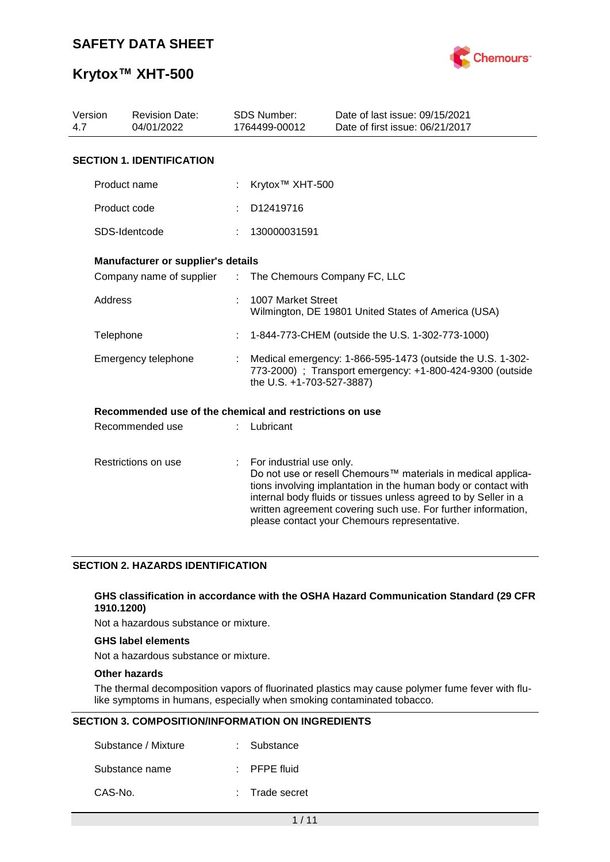

# **Krytox™ XHT-500**

| Version<br>4.7      | <b>Revision Date:</b><br>04/01/2022                     |    | <b>SDS Number:</b><br>1764499-00012                                                                                                                  | Date of last issue: 09/15/2021<br>Date of first issue: 06/21/2017                                                                                                                                                                                                                                                  |  |  |
|---------------------|---------------------------------------------------------|----|------------------------------------------------------------------------------------------------------------------------------------------------------|--------------------------------------------------------------------------------------------------------------------------------------------------------------------------------------------------------------------------------------------------------------------------------------------------------------------|--|--|
|                     | <b>SECTION 1. IDENTIFICATION</b>                        |    |                                                                                                                                                      |                                                                                                                                                                                                                                                                                                                    |  |  |
|                     | Product name                                            |    | Krytox <sup>™</sup> XHT-500                                                                                                                          |                                                                                                                                                                                                                                                                                                                    |  |  |
|                     | Product code                                            |    | D12419716                                                                                                                                            |                                                                                                                                                                                                                                                                                                                    |  |  |
|                     | SDS-Identcode                                           |    | 130000031591                                                                                                                                         |                                                                                                                                                                                                                                                                                                                    |  |  |
|                     | Manufacturer or supplier's details                      |    |                                                                                                                                                      |                                                                                                                                                                                                                                                                                                                    |  |  |
|                     | Company name of supplier :                              |    | The Chemours Company FC, LLC                                                                                                                         |                                                                                                                                                                                                                                                                                                                    |  |  |
|                     | <b>Address</b>                                          |    | 1007 Market Street<br>Wilmington, DE 19801 United States of America (USA)                                                                            |                                                                                                                                                                                                                                                                                                                    |  |  |
|                     | Telephone                                               |    | 1-844-773-CHEM (outside the U.S. 1-302-773-1000)                                                                                                     |                                                                                                                                                                                                                                                                                                                    |  |  |
|                     | Emergency telephone                                     |    | Medical emergency: 1-866-595-1473 (outside the U.S. 1-302-<br>773-2000) ; Transport emergency: +1-800-424-9300 (outside<br>the U.S. +1-703-527-3887) |                                                                                                                                                                                                                                                                                                                    |  |  |
|                     | Recommended use of the chemical and restrictions on use |    |                                                                                                                                                      |                                                                                                                                                                                                                                                                                                                    |  |  |
| Recommended use     |                                                         |    | Lubricant                                                                                                                                            |                                                                                                                                                                                                                                                                                                                    |  |  |
| Restrictions on use |                                                         | ÷. | For industrial use only.                                                                                                                             | Do not use or resell Chemours™ materials in medical applica-<br>tions involving implantation in the human body or contact with<br>internal body fluids or tissues unless agreed to by Seller in a<br>written agreement covering such use. For further information,<br>please contact your Chemours representative. |  |  |

### **SECTION 2. HAZARDS IDENTIFICATION**

### **GHS classification in accordance with the OSHA Hazard Communication Standard (29 CFR 1910.1200)**

Not a hazardous substance or mixture.

### **GHS label elements**

Not a hazardous substance or mixture.

### **Other hazards**

The thermal decomposition vapors of fluorinated plastics may cause polymer fume fever with flulike symptoms in humans, especially when smoking contaminated tobacco.

### **SECTION 3. COMPOSITION/INFORMATION ON INGREDIENTS**

| Substance / Mixture | : Substance             |
|---------------------|-------------------------|
| Substance name      | $\therefore$ PFPE fluid |
| CAS-No.             | : Trade secret          |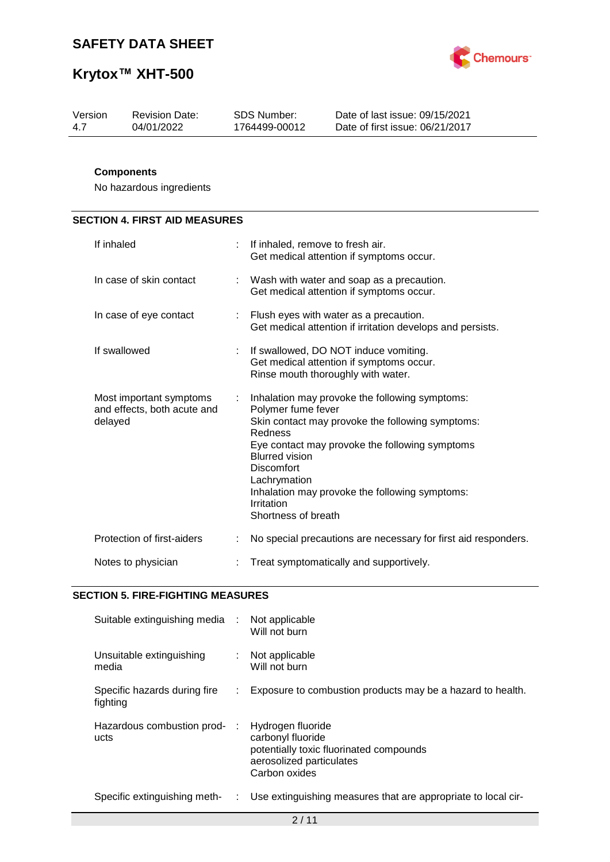



| Version | <b>Revision Date:</b> | SDS Number:   | Date of last issue: 09/15/2021  |
|---------|-----------------------|---------------|---------------------------------|
| 4.7     | 04/01/2022            | 1764499-00012 | Date of first issue: 06/21/2017 |

### **Components**

No hazardous ingredients

| <b>SECTION 4. FIRST AID MEASURES</b> |
|--------------------------------------|
|--------------------------------------|

| If inhaled                                                        |    | If inhaled, remove to fresh air.<br>Get medical attention if symptoms occur.                                                                                                                                                                                                                                                        |
|-------------------------------------------------------------------|----|-------------------------------------------------------------------------------------------------------------------------------------------------------------------------------------------------------------------------------------------------------------------------------------------------------------------------------------|
| In case of skin contact                                           |    | Wash with water and soap as a precaution.<br>Get medical attention if symptoms occur.                                                                                                                                                                                                                                               |
| In case of eye contact                                            |    | : Flush eyes with water as a precaution.<br>Get medical attention if irritation develops and persists.                                                                                                                                                                                                                              |
| If swallowed                                                      | ÷. | If swallowed, DO NOT induce vomiting.<br>Get medical attention if symptoms occur.<br>Rinse mouth thoroughly with water.                                                                                                                                                                                                             |
| Most important symptoms<br>and effects, both acute and<br>delayed | ÷  | Inhalation may provoke the following symptoms:<br>Polymer fume fever<br>Skin contact may provoke the following symptoms:<br>Redness<br>Eye contact may provoke the following symptoms<br><b>Blurred vision</b><br>Discomfort<br>Lachrymation<br>Inhalation may provoke the following symptoms:<br>Irritation<br>Shortness of breath |
| Protection of first-aiders                                        |    | No special precautions are necessary for first aid responders.                                                                                                                                                                                                                                                                      |
| Notes to physician                                                |    | Treat symptomatically and supportively.                                                                                                                                                                                                                                                                                             |

### **SECTION 5. FIRE-FIGHTING MEASURES**

| Suitable extinguishing media :           |    | Not applicable<br>Will not burn                                                                                                |
|------------------------------------------|----|--------------------------------------------------------------------------------------------------------------------------------|
| Unsuitable extinguishing<br>media        | t. | Not applicable<br>Will not burn                                                                                                |
| Specific hazards during fire<br>fighting |    | Exposure to combustion products may be a hazard to health.                                                                     |
| Hazardous combustion prod-<br>ucts       |    | Hydrogen fluoride<br>carbonyl fluoride<br>potentially toxic fluorinated compounds<br>aerosolized particulates<br>Carbon oxides |
| Specific extinguishing meth-             | t. | Use extinguishing measures that are appropriate to local cir-                                                                  |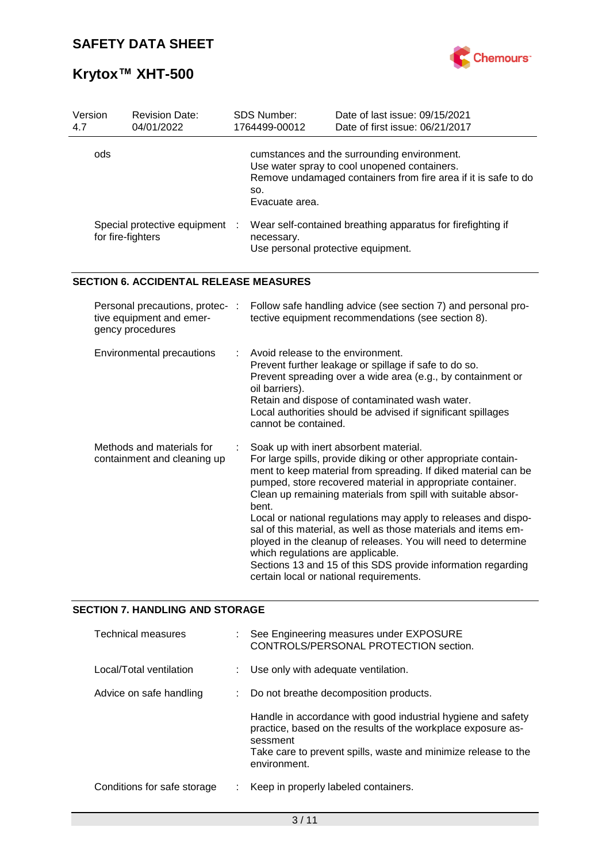

# **Krytox™ XHT-500**

| Version<br>4.7                                      | <b>Revision Date:</b><br>04/01/2022                                                                             |  | SDS Number:<br>1764499-00012                                                                                                                                                                                                           | Date of last issue: 09/15/2021<br>Date of first issue: 06/21/2017                                                                                                                                                                                                                                                                                                                                                                                                                                                                                                                                                        |  |  |
|-----------------------------------------------------|-----------------------------------------------------------------------------------------------------------------|--|----------------------------------------------------------------------------------------------------------------------------------------------------------------------------------------------------------------------------------------|--------------------------------------------------------------------------------------------------------------------------------------------------------------------------------------------------------------------------------------------------------------------------------------------------------------------------------------------------------------------------------------------------------------------------------------------------------------------------------------------------------------------------------------------------------------------------------------------------------------------------|--|--|
| ods                                                 |                                                                                                                 |  | SO.<br>Evacuate area.                                                                                                                                                                                                                  | cumstances and the surrounding environment.<br>Use water spray to cool unopened containers.<br>Remove undamaged containers from fire area if it is safe to do                                                                                                                                                                                                                                                                                                                                                                                                                                                            |  |  |
| Special protective equipment :<br>for fire-fighters |                                                                                                                 |  | Wear self-contained breathing apparatus for firefighting if<br>necessary.<br>Use personal protective equipment.                                                                                                                        |                                                                                                                                                                                                                                                                                                                                                                                                                                                                                                                                                                                                                          |  |  |
|                                                     | <b>SECTION 6. ACCIDENTAL RELEASE MEASURES</b>                                                                   |  |                                                                                                                                                                                                                                        |                                                                                                                                                                                                                                                                                                                                                                                                                                                                                                                                                                                                                          |  |  |
|                                                     | Personal precautions, protec- :<br>tive equipment and emer-<br>gency procedures                                 |  |                                                                                                                                                                                                                                        | Follow safe handling advice (see section 7) and personal pro-<br>tective equipment recommendations (see section 8).                                                                                                                                                                                                                                                                                                                                                                                                                                                                                                      |  |  |
|                                                     | Avoid release to the environment.<br><b>Environmental precautions</b><br>oil barriers).<br>cannot be contained. |  | Prevent further leakage or spillage if safe to do so.<br>Prevent spreading over a wide area (e.g., by containment or<br>Retain and dispose of contaminated wash water.<br>Local authorities should be advised if significant spillages |                                                                                                                                                                                                                                                                                                                                                                                                                                                                                                                                                                                                                          |  |  |
|                                                     | Methods and materials for<br>containment and cleaning up                                                        |  | bent.<br>which regulations are applicable.                                                                                                                                                                                             | Soak up with inert absorbent material.<br>For large spills, provide diking or other appropriate contain-<br>ment to keep material from spreading. If diked material can be<br>pumped, store recovered material in appropriate container.<br>Clean up remaining materials from spill with suitable absor-<br>Local or national regulations may apply to releases and dispo-<br>sal of this material, as well as those materials and items em-<br>ployed in the cleanup of releases. You will need to determine<br>Sections 13 and 15 of this SDS provide information regarding<br>certain local or national requirements. |  |  |

### **SECTION 7. HANDLING AND STORAGE**

| <b>Technical measures</b>   | See Engineering measures under EXPOSURE<br>CONTROLS/PERSONAL PROTECTION section.                                                                                                                                           |
|-----------------------------|----------------------------------------------------------------------------------------------------------------------------------------------------------------------------------------------------------------------------|
| Local/Total ventilation     | Use only with adequate ventilation.                                                                                                                                                                                        |
| Advice on safe handling     | Do not breathe decomposition products.                                                                                                                                                                                     |
|                             | Handle in accordance with good industrial hygiene and safety<br>practice, based on the results of the workplace exposure as-<br>sessment<br>Take care to prevent spills, waste and minimize release to the<br>environment. |
| Conditions for safe storage | Keep in properly labeled containers.                                                                                                                                                                                       |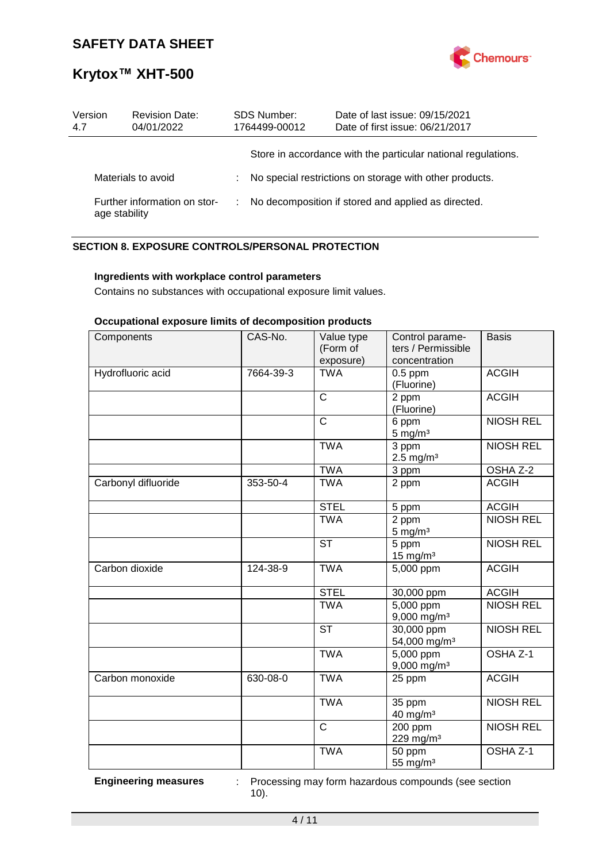

# **Krytox™ XHT-500**

| Version<br>4.7                                | <b>Revision Date:</b><br>04/01/2022 | <b>SDS Number:</b><br>1764499-00012 | Date of last issue: 09/15/2021<br>Date of first issue: 06/21/2017 |
|-----------------------------------------------|-------------------------------------|-------------------------------------|-------------------------------------------------------------------|
|                                               |                                     |                                     | Store in accordance with the particular national regulations.     |
| Materials to avoid                            |                                     |                                     | No special restrictions on storage with other products.           |
| Further information on stor-<br>age stability |                                     |                                     | No decomposition if stored and applied as directed.               |

### **SECTION 8. EXPOSURE CONTROLS/PERSONAL PROTECTION**

### **Ingredients with workplace control parameters**

Contains no substances with occupational exposure limit values.

### **Occupational exposure limits of decomposition products**

| Components          | CAS-No.   | Value type<br>(Form of<br>exposure) | Control parame-<br>ters / Permissible<br>concentration | <b>Basis</b>     |
|---------------------|-----------|-------------------------------------|--------------------------------------------------------|------------------|
| Hydrofluoric acid   | 7664-39-3 | <b>TWA</b>                          | $0.5$ ppm<br>(Fluorine)                                | <b>ACGIH</b>     |
|                     |           | $\mathsf{C}$                        | 2 ppm<br>(Fluorine)                                    | <b>ACGIH</b>     |
|                     |           | C                                   | 6 ppm<br>$5$ mg/m <sup>3</sup>                         | <b>NIOSH REL</b> |
|                     |           | <b>TWA</b>                          | $\overline{3}$ ppm<br>$2.5$ mg/m <sup>3</sup>          | <b>NIOSH REL</b> |
|                     |           | <b>TWA</b>                          | 3 ppm                                                  | OSHA Z-2         |
| Carbonyl difluoride | 353-50-4  | <b>TWA</b>                          | 2 ppm                                                  | <b>ACGIH</b>     |
|                     |           | <b>STEL</b>                         | 5 ppm                                                  | <b>ACGIH</b>     |
|                     |           | <b>TWA</b>                          | 2 ppm<br>$5 \text{ mg/m}^3$                            | <b>NIOSH REL</b> |
|                     |           | <b>ST</b>                           | 5 ppm<br>$15$ mg/m <sup>3</sup>                        | <b>NIOSH REL</b> |
| Carbon dioxide      | 124-38-9  | <b>TWA</b>                          | 5,000 ppm                                              | <b>ACGIH</b>     |
|                     |           | <b>STEL</b>                         | 30,000 ppm                                             | <b>ACGIH</b>     |
|                     |           | <b>TWA</b>                          | $5,000$ ppm<br>$9,000$ mg/m <sup>3</sup>               | <b>NIOSH REL</b> |
|                     |           | <b>ST</b>                           | $\overline{30,}000$ ppm<br>54,000 mg/m <sup>3</sup>    | <b>NIOSH REL</b> |
|                     |           | <b>TWA</b>                          | 5,000 ppm<br>$9,000$ mg/m <sup>3</sup>                 | OSHA Z-1         |
| Carbon monoxide     | 630-08-0  | <b>TWA</b>                          | 25 ppm                                                 | <b>ACGIH</b>     |
|                     |           | <b>TWA</b>                          | 35 ppm<br>$40$ mg/m <sup>3</sup>                       | <b>NIOSH REL</b> |
|                     |           | $\mathsf{C}$                        | 200 ppm<br>229 mg/m <sup>3</sup>                       | <b>NIOSH REL</b> |
|                     |           | <b>TWA</b>                          | 50 ppm<br>55 mg/m <sup>3</sup>                         | OSHA Z-1         |

**Engineering measures** : Processing may form hazardous compounds (see section 10).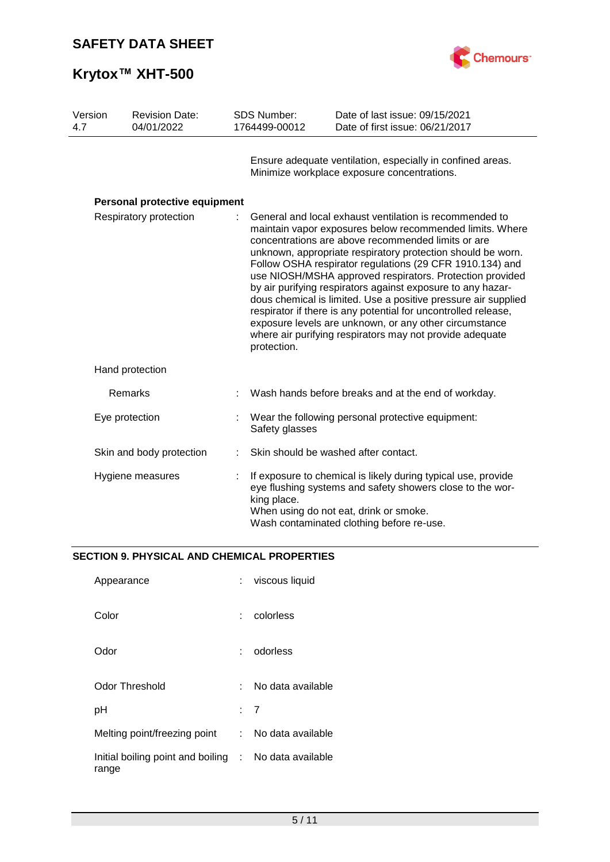



| Version<br>4.7 | <b>Revision Date:</b><br>04/01/2022                                                         |                                                                                                                                                                                                                                  | <b>SDS Number:</b><br>1764499-00012                                                                                                                                                                                                                                                                                                                                                                                                                                                                                                                                                                                                 | Date of last issue: 09/15/2021<br>Date of first issue: 06/21/2017                                         |
|----------------|---------------------------------------------------------------------------------------------|----------------------------------------------------------------------------------------------------------------------------------------------------------------------------------------------------------------------------------|-------------------------------------------------------------------------------------------------------------------------------------------------------------------------------------------------------------------------------------------------------------------------------------------------------------------------------------------------------------------------------------------------------------------------------------------------------------------------------------------------------------------------------------------------------------------------------------------------------------------------------------|-----------------------------------------------------------------------------------------------------------|
|                |                                                                                             |                                                                                                                                                                                                                                  |                                                                                                                                                                                                                                                                                                                                                                                                                                                                                                                                                                                                                                     | Ensure adequate ventilation, especially in confined areas.<br>Minimize workplace exposure concentrations. |
|                | Personal protective equipment                                                               |                                                                                                                                                                                                                                  |                                                                                                                                                                                                                                                                                                                                                                                                                                                                                                                                                                                                                                     |                                                                                                           |
|                | Respiratory protection<br>concentrations are above recommended limits or are<br>protection. |                                                                                                                                                                                                                                  | General and local exhaust ventilation is recommended to<br>maintain vapor exposures below recommended limits. Where<br>unknown, appropriate respiratory protection should be worn.<br>Follow OSHA respirator regulations (29 CFR 1910.134) and<br>use NIOSH/MSHA approved respirators. Protection provided<br>by air purifying respirators against exposure to any hazar-<br>dous chemical is limited. Use a positive pressure air supplied<br>respirator if there is any potential for uncontrolled release,<br>exposure levels are unknown, or any other circumstance<br>where air purifying respirators may not provide adequate |                                                                                                           |
|                | Hand protection                                                                             |                                                                                                                                                                                                                                  |                                                                                                                                                                                                                                                                                                                                                                                                                                                                                                                                                                                                                                     |                                                                                                           |
|                | Remarks                                                                                     |                                                                                                                                                                                                                                  |                                                                                                                                                                                                                                                                                                                                                                                                                                                                                                                                                                                                                                     | Wash hands before breaks and at the end of workday.                                                       |
|                | Eye protection                                                                              | Wear the following personal protective equipment:<br>Safety glasses                                                                                                                                                              |                                                                                                                                                                                                                                                                                                                                                                                                                                                                                                                                                                                                                                     |                                                                                                           |
|                | Skin and body protection                                                                    | Skin should be washed after contact.                                                                                                                                                                                             |                                                                                                                                                                                                                                                                                                                                                                                                                                                                                                                                                                                                                                     |                                                                                                           |
|                | Hygiene measures                                                                            | If exposure to chemical is likely during typical use, provide<br>eye flushing systems and safety showers close to the wor-<br>king place.<br>When using do not eat, drink or smoke.<br>Wash contaminated clothing before re-use. |                                                                                                                                                                                                                                                                                                                                                                                                                                                                                                                                                                                                                                     |                                                                                                           |

## **SECTION 9. PHYSICAL AND CHEMICAL PROPERTIES**

| Appearance                                                     | t.    | viscous liquid    |
|----------------------------------------------------------------|-------|-------------------|
| Color                                                          |       | colorless         |
| Odor                                                           |       | odorless          |
| Odor Threshold                                                 | t - 1 | No data available |
| рH                                                             |       | : 7               |
| Melting point/freezing point                                   | diam. | No data available |
| Initial boiling point and boiling : No data available<br>range |       |                   |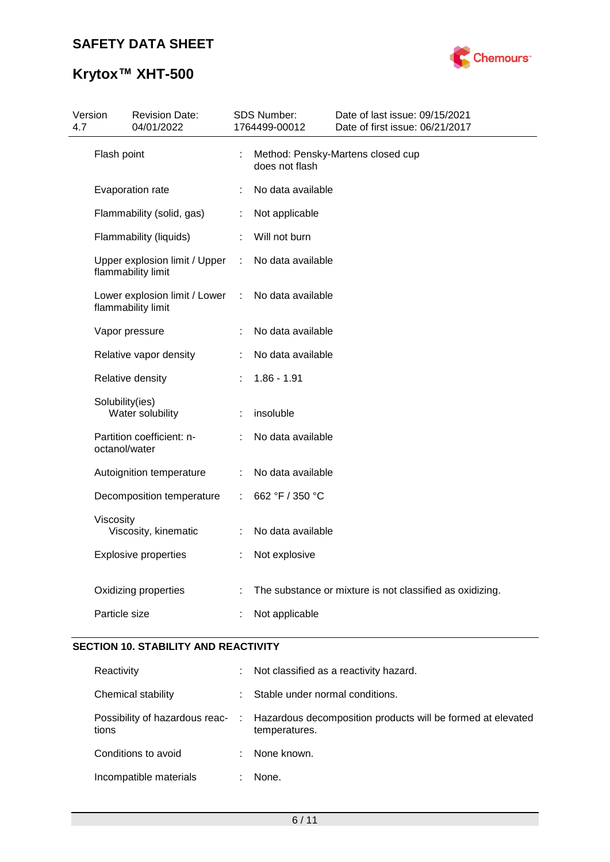# **Krytox™ XHT-500**



| 4.7 | Version         | <b>Revision Date:</b><br>04/01/2022                 |   | SDS Number:<br>1764499-00012 | Date of last issue: 09/15/2021<br>Date of first issue: 06/21/2017 |
|-----|-----------------|-----------------------------------------------------|---|------------------------------|-------------------------------------------------------------------|
|     | Flash point     |                                                     | ÷ | does not flash               | Method: Pensky-Martens closed cup                                 |
|     |                 | Evaporation rate                                    | t | No data available            |                                                                   |
|     |                 | Flammability (solid, gas)                           | t | Not applicable               |                                                                   |
|     |                 | Flammability (liquids)                              | ÷ | Will not burn                |                                                                   |
|     |                 | Upper explosion limit / Upper<br>flammability limit |   | No data available            |                                                                   |
|     |                 | Lower explosion limit / Lower<br>flammability limit | ÷ | No data available            |                                                                   |
|     |                 | Vapor pressure                                      | t | No data available            |                                                                   |
|     |                 | Relative vapor density                              |   | No data available            |                                                                   |
|     |                 | Relative density                                    |   | $1.86 - 1.91$                |                                                                   |
|     | Solubility(ies) | Water solubility                                    | t | insoluble                    |                                                                   |
|     | octanol/water   | Partition coefficient: n-                           |   | No data available            |                                                                   |
|     |                 | Autoignition temperature                            | ÷ | No data available            |                                                                   |
|     |                 | Decomposition temperature                           |   | 662 °F / 350 °C              |                                                                   |
|     | Viscosity       | Viscosity, kinematic                                | ÷ | No data available            |                                                                   |
|     |                 | <b>Explosive properties</b>                         |   | Not explosive                |                                                                   |
|     |                 | Oxidizing properties                                |   |                              | The substance or mixture is not classified as oxidizing.          |
|     | Particle size   |                                                     |   | Not applicable               |                                                                   |

### **SECTION 10. STABILITY AND REACTIVITY**

| Reactivity             | ÷. | Not classified as a reactivity hazard.                                                                        |
|------------------------|----|---------------------------------------------------------------------------------------------------------------|
| Chemical stability     |    | Stable under normal conditions.                                                                               |
| tions                  |    | Possibility of hazardous reac- : Hazardous decomposition products will be formed at elevated<br>temperatures. |
| Conditions to avoid    |    | None known.                                                                                                   |
| Incompatible materials |    | None.                                                                                                         |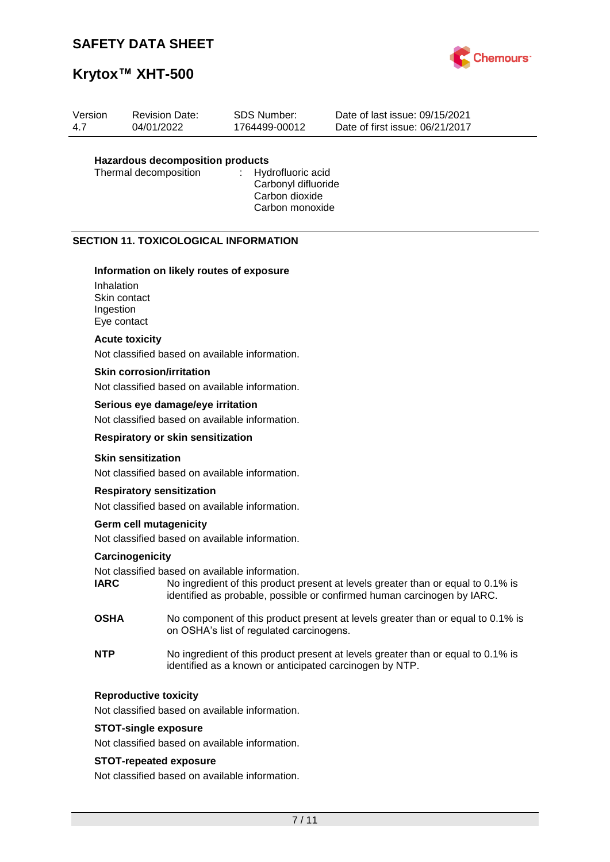

# **Krytox™ XHT-500**

| Version | <b>Revision Date:</b>            | SDS Number:   | Date of last issue: 09/15/2021  |
|---------|----------------------------------|---------------|---------------------------------|
| 4.7     | 04/01/2022                       | 1764499-00012 | Date of first issue: 06/21/2017 |
|         | Hazardous decomposition products |               |                                 |

# **Hazardous decomposition products**

Thermal decomposition

Carbonyl difluoride Carbon dioxide Carbon monoxide

### **SECTION 11. TOXICOLOGICAL INFORMATION**

### **Information on likely routes of exposure**

Inhalation Skin contact Ingestion Eye contact

### **Acute toxicity**

Not classified based on available information.

### **Skin corrosion/irritation**

Not classified based on available information.

### **Serious eye damage/eye irritation**

Not classified based on available information.

#### **Respiratory or skin sensitization**

### **Skin sensitization**

Not classified based on available information.

#### **Respiratory sensitization**

Not classified based on available information.

### **Germ cell mutagenicity**

Not classified based on available information.

### **Carcinogenicity**

Not classified based on available information.

- **IARC** No ingredient of this product present at levels greater than or equal to 0.1% is identified as probable, possible or confirmed human carcinogen by IARC.
- **OSHA** No component of this product present at levels greater than or equal to 0.1% is on OSHA's list of regulated carcinogens.
- **NTP** No ingredient of this product present at levels greater than or equal to 0.1% is identified as a known or anticipated carcinogen by NTP.

### **Reproductive toxicity**

Not classified based on available information.

#### **STOT-single exposure**

Not classified based on available information.

### **STOT-repeated exposure**

Not classified based on available information.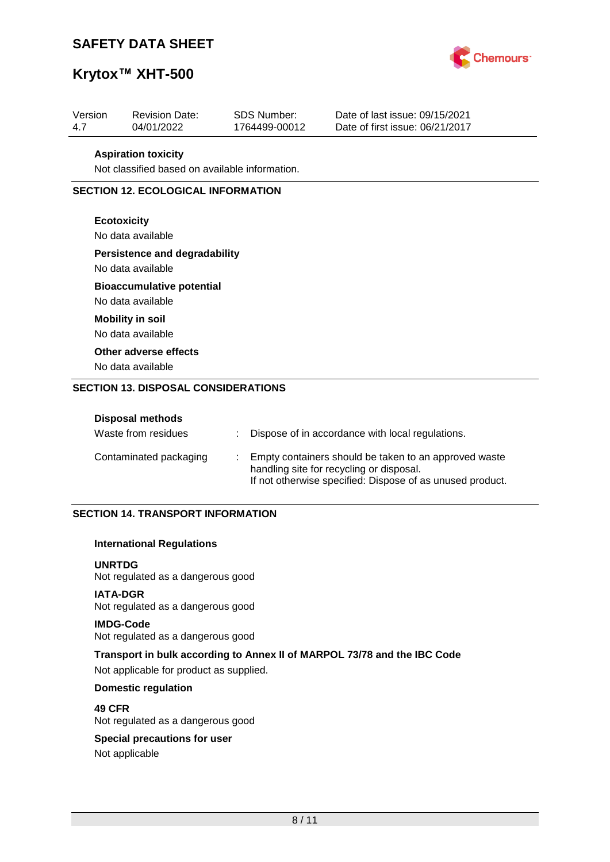

## **Krytox™ XHT-500**

| Version | <b>Revision Date:</b> | SDS Number:   | Date of last issue: 09/15/2021  |
|---------|-----------------------|---------------|---------------------------------|
| 4.7     | 04/01/2022            | 1764499-00012 | Date of first issue: 06/21/2017 |
|         |                       |               |                                 |

#### **Aspiration toxicity**

Not classified based on available information.

### **SECTION 12. ECOLOGICAL INFORMATION**

### **Ecotoxicity**

No data available

### **Persistence and degradability**

No data available

### **Bioaccumulative potential**

No data available **Mobility in soil**

No data available

### **Other adverse effects**

No data available

### **SECTION 13. DISPOSAL CONSIDERATIONS**

| <b>Disposal methods</b><br>Waste from residues | Dispose of in accordance with local regulations.                                                                                                               |
|------------------------------------------------|----------------------------------------------------------------------------------------------------------------------------------------------------------------|
| Contaminated packaging                         | Empty containers should be taken to an approved waste<br>handling site for recycling or disposal.<br>If not otherwise specified: Dispose of as unused product. |

### **SECTION 14. TRANSPORT INFORMATION**

### **International Regulations**

**UNRTDG** Not regulated as a dangerous good

### **IATA-DGR**

Not regulated as a dangerous good

### **IMDG-Code**

Not regulated as a dangerous good

### **Transport in bulk according to Annex II of MARPOL 73/78 and the IBC Code** Not applicable for product as supplied.

### **Domestic regulation**

**49 CFR** Not regulated as a dangerous good

# **Special precautions for user**

Not applicable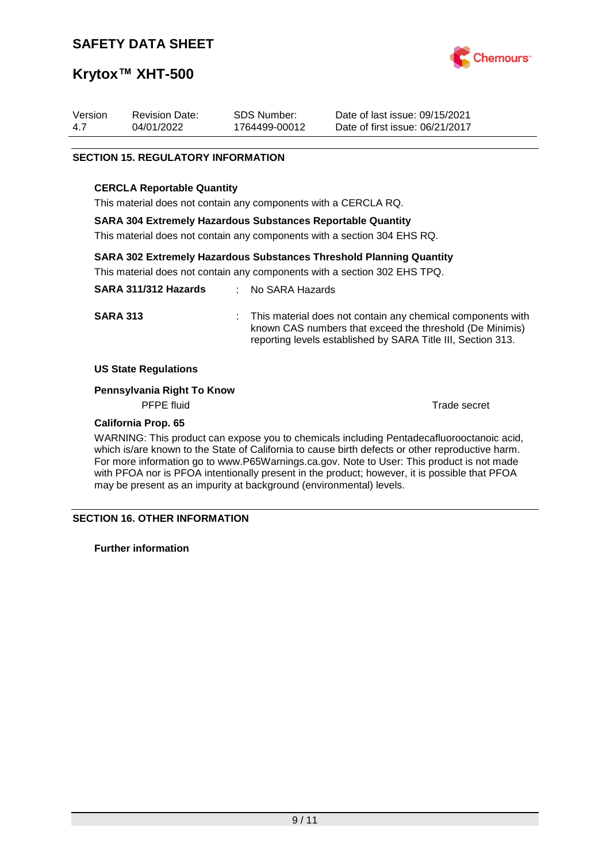

# **Krytox™ XHT-500**

| Version | <b>Revision Date:</b> | SDS Number:   | Date of last issue: 09/15/2021  |
|---------|-----------------------|---------------|---------------------------------|
| 4.7     | 04/01/2022            | 1764499-00012 | Date of first issue: 06/21/2017 |

### **SECTION 15. REGULATORY INFORMATION**

### **CERCLA Reportable Quantity**

This material does not contain any components with a CERCLA RQ.

### **SARA 304 Extremely Hazardous Substances Reportable Quantity**

This material does not contain any components with a section 304 EHS RQ.

### **SARA 302 Extremely Hazardous Substances Threshold Planning Quantity**

This material does not contain any components with a section 302 EHS TPQ.

| SARA 311/312 Hazards | : No SARA Hazards                                                                                                                                                                         |
|----------------------|-------------------------------------------------------------------------------------------------------------------------------------------------------------------------------------------|
| <b>SARA 313</b>      | : This material does not contain any chemical components with<br>known CAS numbers that exceed the threshold (De Minimis)<br>reporting levels established by SARA Title III, Section 313. |

### **US State Regulations**

### **Pennsylvania Right To Know**

PFPE fluid Trade secret

### **California Prop. 65**

WARNING: This product can expose you to chemicals including Pentadecafluorooctanoic acid, which is/are known to the State of California to cause birth defects or other reproductive harm. For more information go to www.P65Warnings.ca.gov. Note to User: This product is not made with PFOA nor is PFOA intentionally present in the product; however, it is possible that PFOA may be present as an impurity at background (environmental) levels.

### **SECTION 16. OTHER INFORMATION**

**Further information**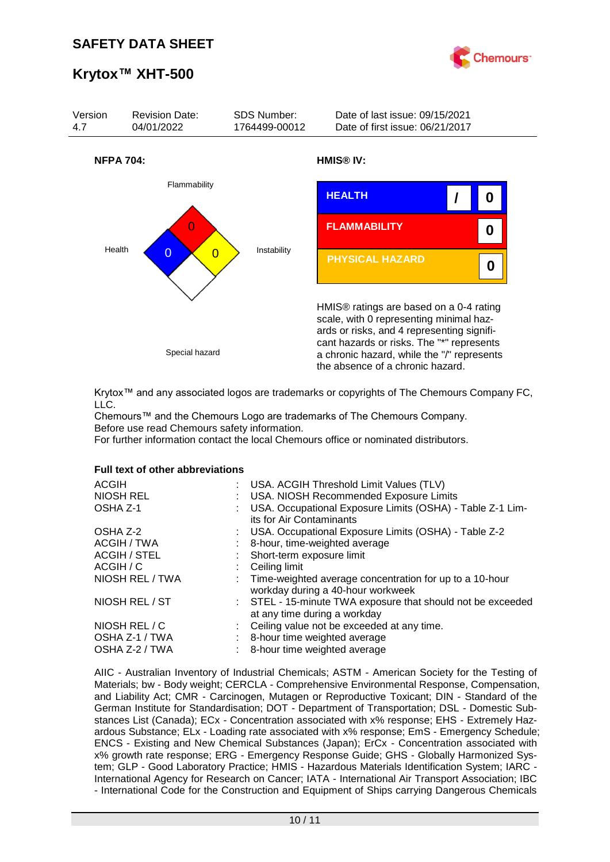

# **Krytox™ XHT-500**



Krytox™ and any associated logos are trademarks or copyrights of The Chemours Company FC, LLC.

Chemours™ and the Chemours Logo are trademarks of The Chemours Company. Before use read Chemours safety information.

For further information contact the local Chemours office or nominated distributors.

#### **Full text of other abbreviations**

| : USA. ACGIH Threshold Limit Values (TLV)<br>: USA. NIOSH Recommended Exposure Limits<br>USA. Occupational Exposure Limits (OSHA) - Table Z-1 Lim-<br>its for Air Contaminants |
|--------------------------------------------------------------------------------------------------------------------------------------------------------------------------------|
| : USA. Occupational Exposure Limits (OSHA) - Table Z-2                                                                                                                         |
| 8-hour, time-weighted average                                                                                                                                                  |
| : Short-term exposure limit                                                                                                                                                    |
| Ceiling limit                                                                                                                                                                  |
| : Time-weighted average concentration for up to a 10-hour<br>workday during a 40-hour workweek                                                                                 |
| : STEL - 15-minute TWA exposure that should not be exceeded<br>at any time during a workday                                                                                    |
| : Ceiling value not be exceeded at any time.                                                                                                                                   |
| 8-hour time weighted average                                                                                                                                                   |
| 8-hour time weighted average                                                                                                                                                   |
|                                                                                                                                                                                |

AIIC - Australian Inventory of Industrial Chemicals; ASTM - American Society for the Testing of Materials; bw - Body weight; CERCLA - Comprehensive Environmental Response, Compensation, and Liability Act; CMR - Carcinogen, Mutagen or Reproductive Toxicant; DIN - Standard of the German Institute for Standardisation; DOT - Department of Transportation; DSL - Domestic Substances List (Canada); ECx - Concentration associated with x% response; EHS - Extremely Hazardous Substance; ELx - Loading rate associated with x% response; EmS - Emergency Schedule; ENCS - Existing and New Chemical Substances (Japan); ErCx - Concentration associated with x% growth rate response; ERG - Emergency Response Guide; GHS - Globally Harmonized System; GLP - Good Laboratory Practice; HMIS - Hazardous Materials Identification System; IARC - International Agency for Research on Cancer; IATA - International Air Transport Association; IBC - International Code for the Construction and Equipment of Ships carrying Dangerous Chemicals